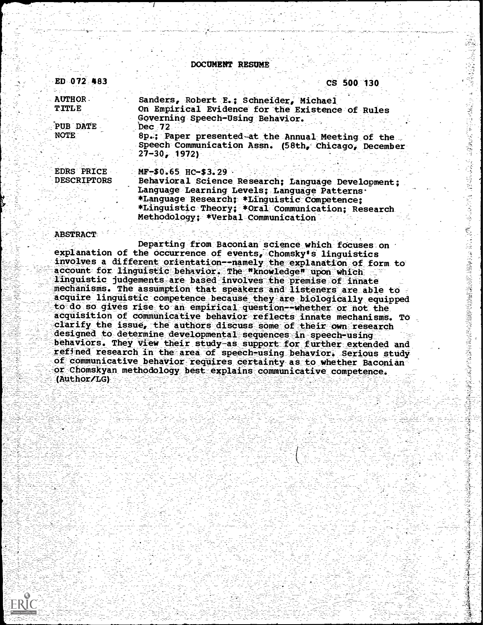**DOCUMENT RESUME** 

| ED 072 483                                | CS 500 130                                                                                                                                                                                                                                                          |
|-------------------------------------------|---------------------------------------------------------------------------------------------------------------------------------------------------------------------------------------------------------------------------------------------------------------------|
| <b>AUTHOR</b><br><b>TITLE</b><br>PUB DATE | Sanders, Robert E.; Schneider, Michael<br>On Empirical Evidence for the Existence of Rules<br>Governing Speech-Using Behavior.<br>Dec 72                                                                                                                            |
| <b>NOTE</b>                               | 8p.; Paper presented at the Annual Meeting of the<br>Speech Communication Assn. (58th, Chicago, December<br>$27 - 30$ , 1972)                                                                                                                                       |
| <b>EDRS PRICE</b><br><b>DESCRIPTORS</b>   | MF-\$0.65 HC-\$3.29<br>Behavioral Science Research; Language Development;<br>Language Learning Levels; Language Patterns.<br>*Language Research; *Linguistic Competence;<br>*Linguistic Theory; *Oral Communication; Research<br>Methodology: *Verbal Communication |

## **ABSTRACT**

Departing from Baconian science which focuses on explanation of the occurrence of events, chomsky's linguistics<br>involves a different orientation--namely the explanation of form to<br>account for linguistic behavior. The "knowledge" upon which linguistic judgements are based involves the premise of innate mechanisms. The assumption that speakers and listeners are able to acquire linguistic competence because they are biologically equipped to do so gives rise to an empirical question--whether or not the acquisition of communicative behavior reflects innate mechanisms. TO clarify the issue, the authors discuss some of their own research designed to determine developmental sequences in speech-using behaviors. They view their study-as support for further extended and refined research in the area of speech-using behavior. Serious study of communicative behavior requires certainty as to whether Baconian or Chomskyan methodology best explains communicative competence. (Author/LG)

「小村まではいたはいから意味は、何かないはいかいかった。その後に、その後、その後の場所を受ける場合の場合の場合を受けるのです。その後、今後の場所の場所は、その場所は、その場所は、その場所は、その場所は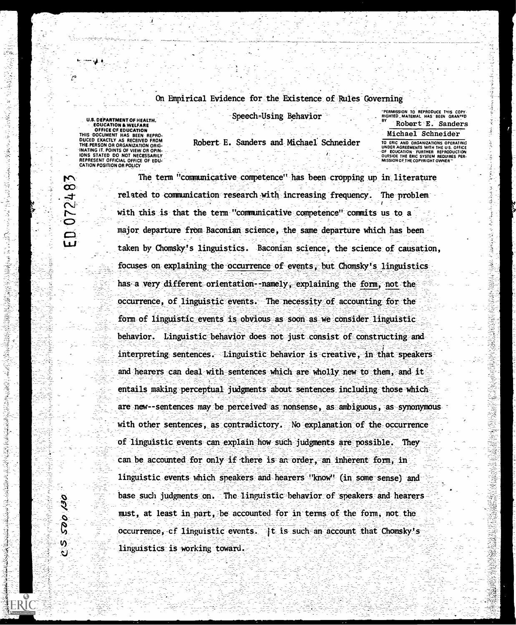## On Empirical Evidence for the Existence of Rules Governing

**"PERMISSION TO REPRODUCE THIS COPY**<br>RIGHTED MATERIAL HAS BEEN GRAN<sup>TED</sup> Speech-Using- Behavior RIGHTED\_MATERIAL HAS BEEN GRAMFO<br>Robert E. Sanders

U.S. DEPARTMENT OF HEALTH,<br>
EQUCATION A WELFARE<br>
OFFICE CF.EDUCATION<br>
THIS DOCUMENT HAS BEEN REPRO-<br>
DUCED EXACTLY AS RECEIVED FROM<br>
THE PERSON OR ORGANIZATION ORIGINATING IT POINTS OF VIEW OR OPIN-<br>
IONS STATED DO NOT NEC REPRESENT OFFICIAL OFFICE OF EDU. CATION POSITION OR POLICY

 $\frac{1}{2}$ 

医尿病毒病

(医气管器医气

 $\mathcal{A}$ 

 $\mathbb{Z}_l$ 

电子工程

3

Ś

 $\frac{1}{\lambda}$ 

07248

N,

Robert E. Sanders and Michael Schneider TO ERIC AND ORGANIZATIONS OPERATING

Michael Schneider UNDER AGREEMENTS WITH THE US. OFFICE --OF EOUCATION- FURTHER REPRODUCTION OUTSIOE THE ERIC SYSTEM REQUIRES PER. MISSION OF THE COPYRIGHT OWNER"-

- 実践文学

ŽŚ

The term "communicative competence" has been cropping up in literature related to communication research-with increasing frequency. The problem with this is that the term "communicative competence" commits us to a major departure from Baconian science, the same departure which has been taken by Chomsky's linguistics. Baconian science, the science of causation, focuses on explaining the occurrence of events, but Chomsky's linguistics has a very different orientation--namely, explaining the form, not the occurrence, of linguistic events. The necessity of accounting for the form of linguistic events is obvious as soon as we consider linguisticbehavior. Linguistic behavior does not just consist of constructing and interpreting sentences. Linguistic behavior is creative, in that speakers and hearers can deal with sentences which are wholly new to them, and it entails making perceptual judgments about sentences including those which are new--sentences may be perceived as nonsense, as ambiguous, as synonymous with other sentences, as contradictory. No explanation of the occurrence of linguistic events can explain how such judgments are possible. They can be accounted for only if there is an order, an inherent form, in linguistic events which speakers and hearers "know" (in some sense) and base such judgments on. The linguistic behavior of speakers and hearers must, at least in part, be accounted for in terms of the form, not the occurrence, cf linguistic events.  $\pm$  is such an account that Chomsky's linguistics is working toward.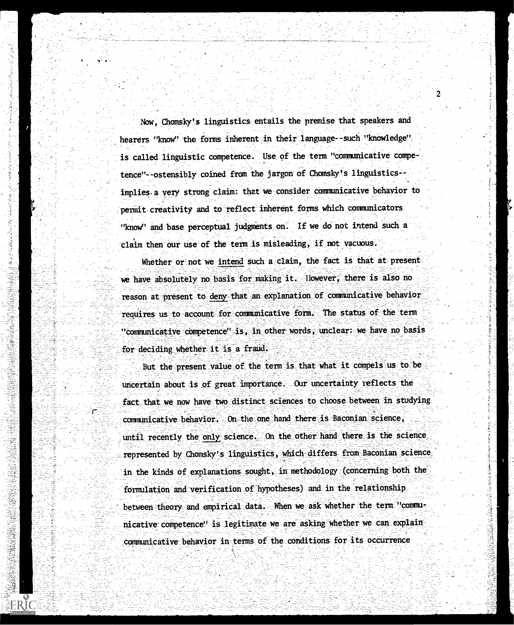Now, Chomsky's linguistics entails the premise that speakers and hearers "know" the forms inherent in their language-such "knowledge" is called linguistic competence. Use of the term "communicative competence"--ostensibly coined from the jargon of Chomsky's linguistics-implies a very strong claim: that we consider communicative behavior to permit creativity and to reflect inherent forms which communicators "know" and base perceptual judgments on. If we do not intend such a claim then our use of the term is misleading, if not vacuous.

ひきつき ちょうこうこうきょう

ś

ś 

不忘红菜

e

ERIC

Whether or not we intend such a claim, the fact is that at present we have absolutely no basis for making it. lowever, there is also no reason at present to deny that an explanation of communicative behavior requires us to account for communicative form. The status of the term "communicative competence" is, in other words, unclear: we have no basis for deciding whether it is a fraud.

But the present value of the term is that what it compels us to be uncertain about is of great importance. Our uncertainty reflects the fact that we now have two distinct sciences to choose between in studying communicative behavior. On the one hand there is Baconian science, until recently the only science. On the other hand there is the science represented by Chomsky's linguistics, which differs from Baconian science in the kinds of explanations sought, in methodology (concerning both the formulation and verification of hypotheses) and in the relationship between theory and empirical data. When we ask whether the term "communicative competence! is legitimate we are asking whether we can explain communicative behavior in terms of the conditions for its occurrence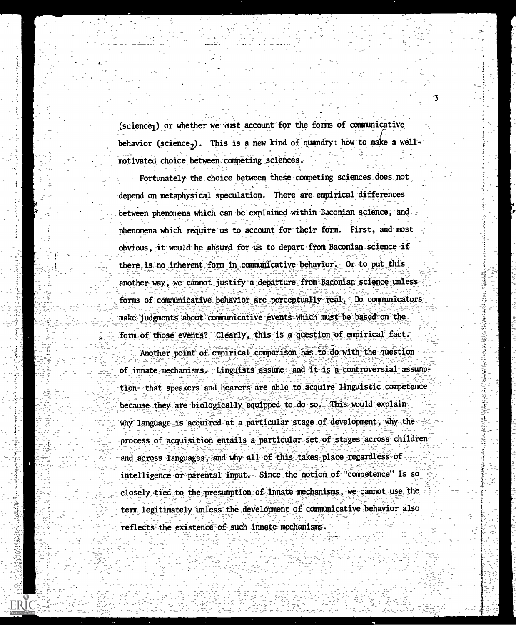$(science<sub>1</sub>)$  or whether we must account for the forms of communicative behavior (science<sub>2</sub>). This is a new kind of quandry: how to make a wellmotivated choice between. competing sciences.

Fortunately the choice between these competing sciences does not. depend on metaphysical speculation. There are empirical differences between phenomena which can be explained within Baconian science, and phenomena which require us to account for their form. First, and most obvious, it would be absurd for us to depart from Baconian science if there is no inherent form in communicative behavior. Or to put this another way, we cannot justify a departure from Baconian science unless forms of communicative behavior are perceptually real. Do communicators make judgments about communicative events which must be based on the form of those events? Clearly, this is a question of empirical fact.

Another point of empirical comparison has to do with the question of innate mechanisms. Linguists assume and it is a controversial assumption--that speakers and hearers are able to acquire linguistic competence because they are biologically equipped to do so. This would explain why language is acquired at a particular stage of development, why the process of acquisition entails a particular set of stages across children and across languages, and why all of this takes place regardless of intelligence or parental input. Since the notion of "competence" is so closely tied to the presumption of innate mechanisms, we cannot use the term legitimately unless the development of communicative behavior also reflects the existence of such innate mechanisms.

**ERIC** 

3

ふくろう ちょうこう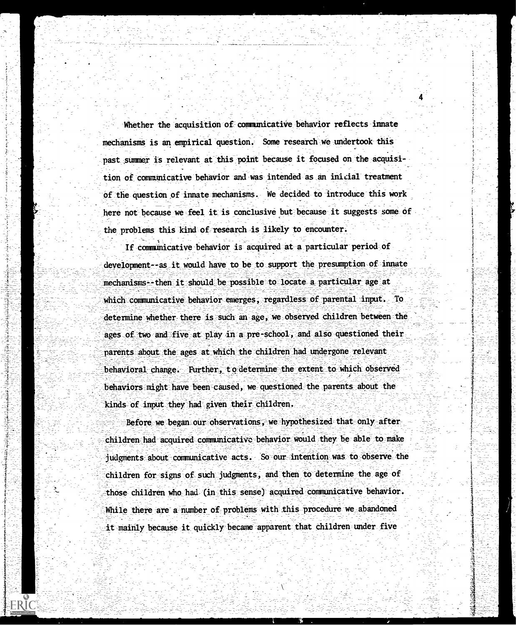Whether the acquisition of communicative behavior reflects innate mechanisms is an empirical question. Some research we undertook this past summer is relevant at this point because it focused on the acquisition of communicative behavior and was intended as an inicial treatment of the question of innate mechanisms. We decided to introduce this work here not because we feel it is conclusive but because it suggests some of the problems this kind of research is likely to encounter.

If communicative behavior is acquired at a particular period of development--as it would have to be to support the presumption of innate mechanisms--then it should be possible to locate a particular age at which communicative behavior energes, regardless of parental input. To determine whether there is such an age, we observed children between the ages of two and five at play in a pre-school, and also questioned their parents about the ages at which the children had undergone relevant behavioral change. Further, to determine the extent to which observed behaviors might have been caused, we questioned the parents about the kinds of input they had given their children.

Before we began our observations, we hypothesized that only after children had acquired communicative behavior would they be able to make judgments about communicative acts. So our intention was to observe the children for signs of such judgments, and then to determine the age of those children who had (in this sense) acquired communicative behavior. While there are a number of problems with this procedure we abandoned it mainly because it quickly became apparent that children under five

ERIC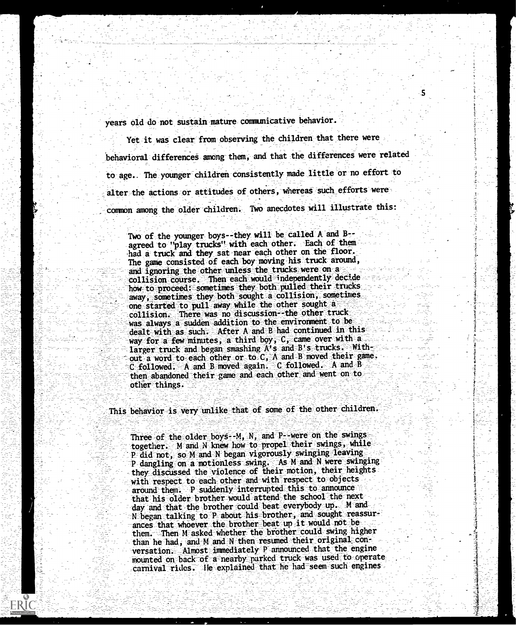years old do not sustain mature communicative behavior.

Yet it was clear from observing the children that there were behavioral differences among them, and that the differences were related to age.. The younger children consistently made little or no effort to alter the actions or attitudes of others, whereas such efforts were common among the older children. Two anecdotes will illustrate this:

Two of the younger boys--they will be called A and B-agreed to "play trucks" with each other. Each of them had a truck and they sat near each other on the floor. The game consisted of each boy moving his truck around, and ignoring the other unless the trucks were on a collision course. Then each would independently decide how to proceed: sometimes they both pulled their trucks away, sometimes they both sought a collision, sometimes one started to pull away while the other sought a collision. There was no discussion--the other truck was always a sudden addition to the environment to be. dealt with as such. After A and B had continued in this way for a few minutes, a third boy,  $C$ , came over with a larger truck and began smashing A's and B's trucks. Without a word to each other or to C, A and B moved their game. C followed. A and B moved again. C followed. A and B<br>then abandoned their game and each other and went on to other things.

This behavior is very unlike that of some of the other children.

Three of the older boys - M, N, and P -were on the swings together. M and N knew how to propel their swings, while P did not, so M and N began vigorously swinging leaving P dangling on a motionless swing. As M and N were swinging they discussed the violence of their motion, their heights with respect to each other and with respect to objects around them. P suddenly interrupted this to announce that his older brother would attend the school the next day and that the brother could beat everybody up. M and N began talking to P about his brother, and sought reassurances that whoever the brother beat up it would not be them. Then M asked whether the brother could swing higher than he had, and M and N then resumed their original conversation. Almost immediately P announced that the engine mounted on back of a nearby parked truck was used to operate carnival rides. He explained that he had seem such engines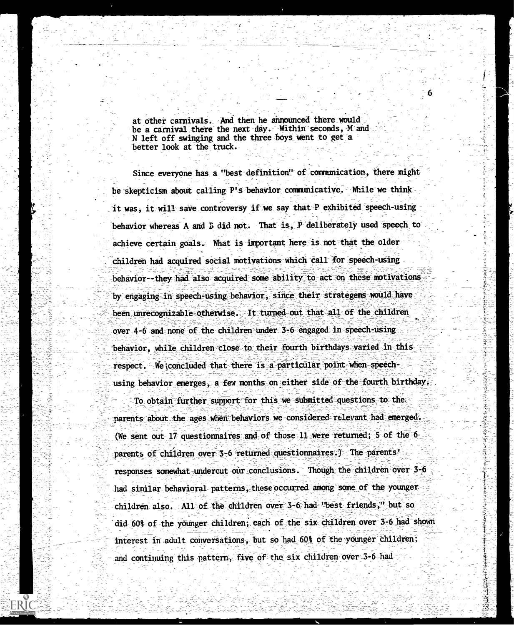at other carnivals. And then he announced there would be a carnival there the next day. Within seconds, M and N left off swinging and the three boys went to get a better look at the truck.

Since everyone has a "best definition" of communication, there might be skepticism about calling P's behavior communicative. While we think it was, it will save controversy if we say that P exhibited speech-using behavior whereas A and E did not. That is, P deliberately used speech to achieve certain goals. What is important here is not that the older children had acquired social motivations which call for speech-using behavior--they had also acquired some ability to act on these motivations by engaging in speech-using behavior, since their strategens would have been unrecognizable otherwise. It turned out that all of the children over 4-6 and none of the children under 3-6 engaged in speech-using behavior, while children close to their fourth birthdays varied in this respect. We concluded that there is a particular point when speechusing behavior emerges, a few months on either side of the fourth birthday.

To obtain further support for this we submitted questions to the parents about the ages when behaviors we considered relevant had emerged. (We sent out 17 questionnaires and of those 11 were returned; 5 of the  $6$ parents of children over 3-6 returned questionnaires.) The parents! responses somewhat undercut our conclusions. Though the children over 3-6 had similar behavioral patterns, these occurred among some of the younger children also. All of the children over 3-6 had "best friends," but so did 60% of the younger children; each of the six children over 3-6 had shown interest in adult conversations, but so had 60% of the younger children; and continuing this pattern, five of the six children over 3-6 had

**ERIC**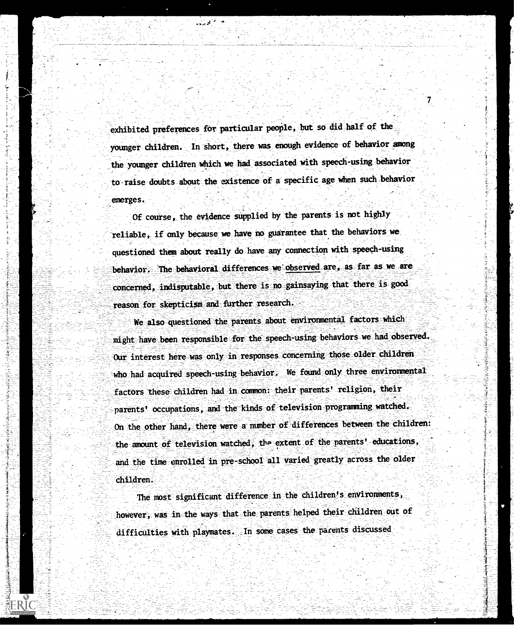exhibited preferences for particular people, but so did half of the younger children. In short, there was enough evidence of behavior among the younger children which we had associated with speech-using behavior to raise doubts about the existence of a specific age when such behavior emerges.

Of course, the evidence supplied by the parents is not highly reliable, if only because we have no guarantee that the behaviors we questioned them about really do have any connection with speech-using behavior. The behavioral differences we observed are, as far as we are concerned, indisputable, but there is no gainsaying that there is good reason for skepticism and further research.

We also questioned the parents about environmental factors which might have been responsible for the speech-using behaviors we had observed. Our interest here was only in responses concerning those older children who had acquired speech-using behavior. We found only three environmental factors these children had in common: their parents' religion, their parents' occupations, and the kinds of television programming watched. On the other hand, there were a number of differences between the children: the amount of television watched, the extent of the parents' educations, and the time enrolled in pre-school all varied greatly across the older children.

The most significant difference in the children's environments, however, was in the ways that the parents helped their children out of difficulties with playmates. In some cases the parents discussed